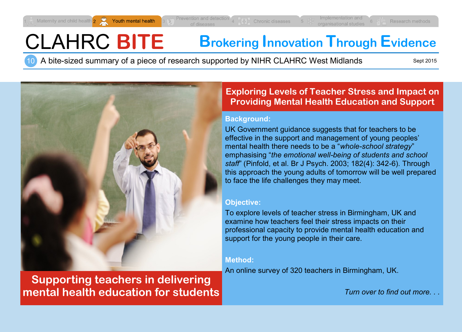# CLAHRC **BITE Brokering Innovation Through Evidence**

A bite-sized summary of a piece of research supported by NIHR CLAHRC West Midlands 10

Sept 2015



**Supporting teachers in delivering mental health education for students**

# **Exploring Levels of Teacher Stress and Impact on Providing Mental Health Education and Support**

### **Background:**

UK Government guidance suggests that for teachers to be effective in the support and management of young peoples' mental health there needs to be a "*whole-school strategy*" emphasising "*the emotional well-being of students and school staff*" (Pinfold, et al. Br J Psych. 2003; 182(4): 342-6). Through this approach the young adults of tomorrow will be well prepared to face the life challenges they may meet.

# **Objective:**

To explore levels of teacher stress in Birmingham, UK and examine how teachers feel their stress impacts on their professional capacity to provide mental health education and support for the young people in their care*.* 

# **Method:**

An online survey of 320 teachers in Birmingham, UK.

*Turn over to find out more. . .*